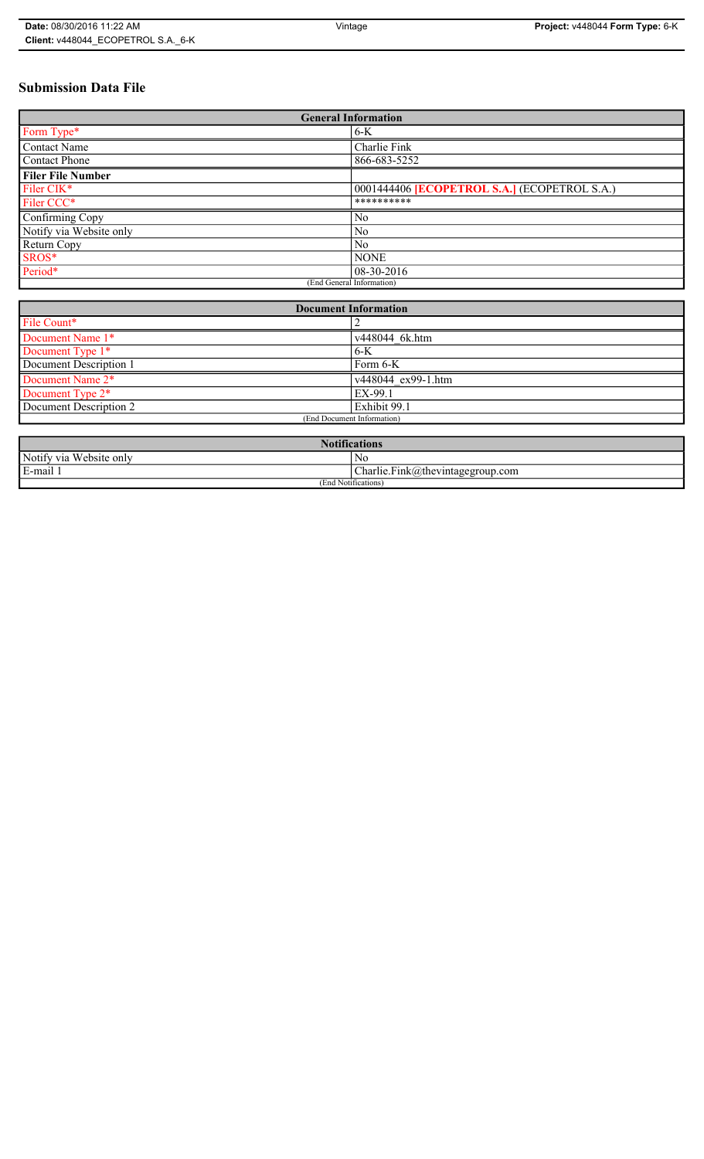# **Submission Data File**

| <b>General Information</b> |                                                     |  |
|----------------------------|-----------------------------------------------------|--|
| Form Type*                 | $6-K$                                               |  |
| <b>Contact Name</b>        | Charlie Fink                                        |  |
| <b>Contact Phone</b>       | 866-683-5252                                        |  |
| <b>Filer File Number</b>   |                                                     |  |
| Filer CIK*                 | 0001444406 <b>[ECOPETROL S.A.]</b> (ECOPETROL S.A.) |  |
| Filer CCC*                 | **********                                          |  |
| Confirming Copy            | N <sub>0</sub>                                      |  |
| Notify via Website only    | N <sub>0</sub>                                      |  |
| Return Copy                | No                                                  |  |
| SROS*                      | <b>NONE</b>                                         |  |
| Period*                    | $08-30-2016$                                        |  |
| (End General Information)  |                                                     |  |

| <b>Document Information</b> |                            |  |
|-----------------------------|----------------------------|--|
| File Count*                 |                            |  |
| Document Name 1*            | v448044 6k.htm             |  |
| Document Type 1*            | $6-K$                      |  |
| Document Description 1      | Form 6-K                   |  |
| Document Name 2*            | $\sqrt{448044}$ ex99-1.htm |  |
| Document Type 2*            | EX-99.1                    |  |
| Document Description 2      | Exhibit 99.1               |  |
| (End Document Information)  |                            |  |
|                             |                            |  |

| <b>Notifications</b>    |                                                               |  |
|-------------------------|---------------------------------------------------------------|--|
| Notify via Website only | N0                                                            |  |
| E-mail 1                | $ {\text{Char}}\right $ Charlie. Fink @ the vintage group.com |  |
| (End Notifications)     |                                                               |  |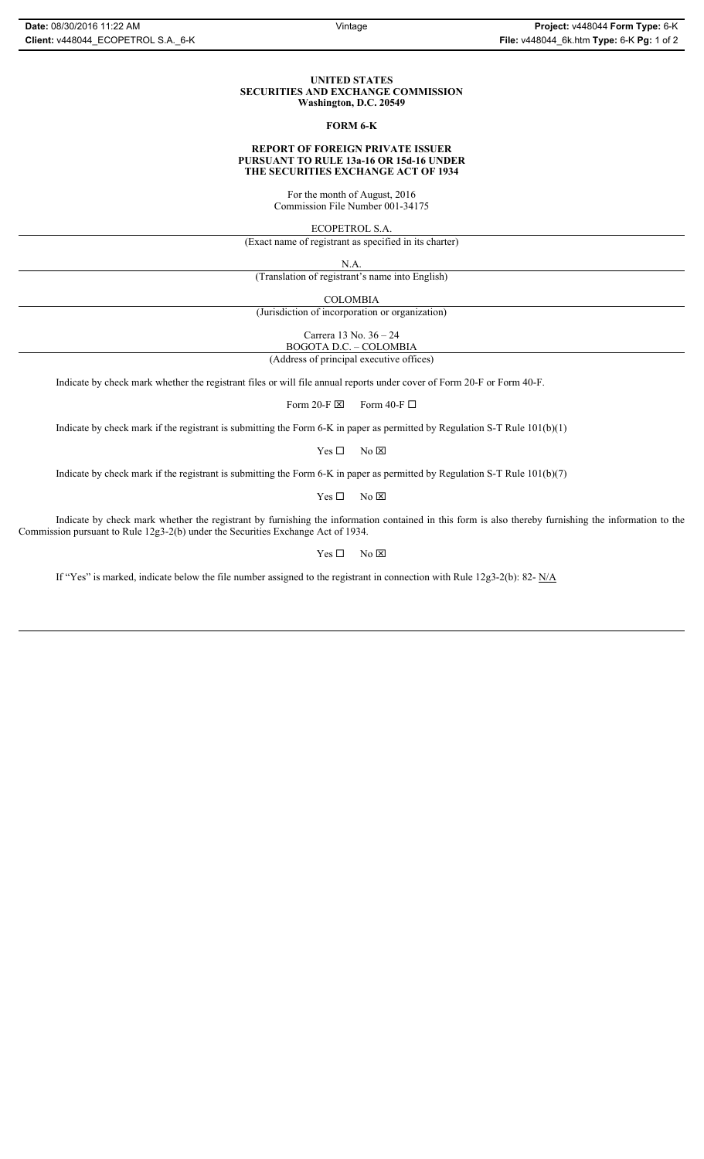#### **UNITED STATES SECURITIES AND EXCHANGE COMMISSION Washington, D.C. 20549**

### **FORM 6-K**

#### **REPORT OF FOREIGN PRIVATE ISSUER PURSUANT TO RULE 13a-16 OR 15d-16 UNDER THE SECURITIES EXCHANGE ACT OF 1934**

For the month of August, 2016 Commission File Number 001-34175

ECOPETROL S.A.

(Exact name of registrant as specified in its charter)

N.A.

(Translation of registrant's name into English)

COLOMBIA

(Jurisdiction of incorporation or organization)

Carrera 13 No. 36 – 24

BOGOTA D.C. – COLOMBIA (Address of principal executive offices)

Indicate by check mark whether the registrant files or will file annual reports under cover of Form 20-F or Form 40-F.

Form 20-F  $\boxtimes$  Form 40-F  $\Box$ 

Indicate by check mark if the registrant is submitting the Form 6-K in paper as permitted by Regulation S-T Rule 101(b)(1)

 $Yes \Box$  No  $\boxtimes$ 

Indicate by check mark if the registrant is submitting the Form 6-K in paper as permitted by Regulation S-T Rule 101(b)(7)

 $Yes \Box$  No  $\boxtimes$ 

Indicate by check mark whether the registrant by furnishing the information contained in this form is also thereby furnishing the information to the Commission pursuant to Rule 12g3-2(b) under the Securities Exchange Act of 1934.

 $Yes \Box$  No  $\boxtimes$ 

If "Yes" is marked, indicate below the file number assigned to the registrant in connection with Rule 12g3-2(b): 82- N/A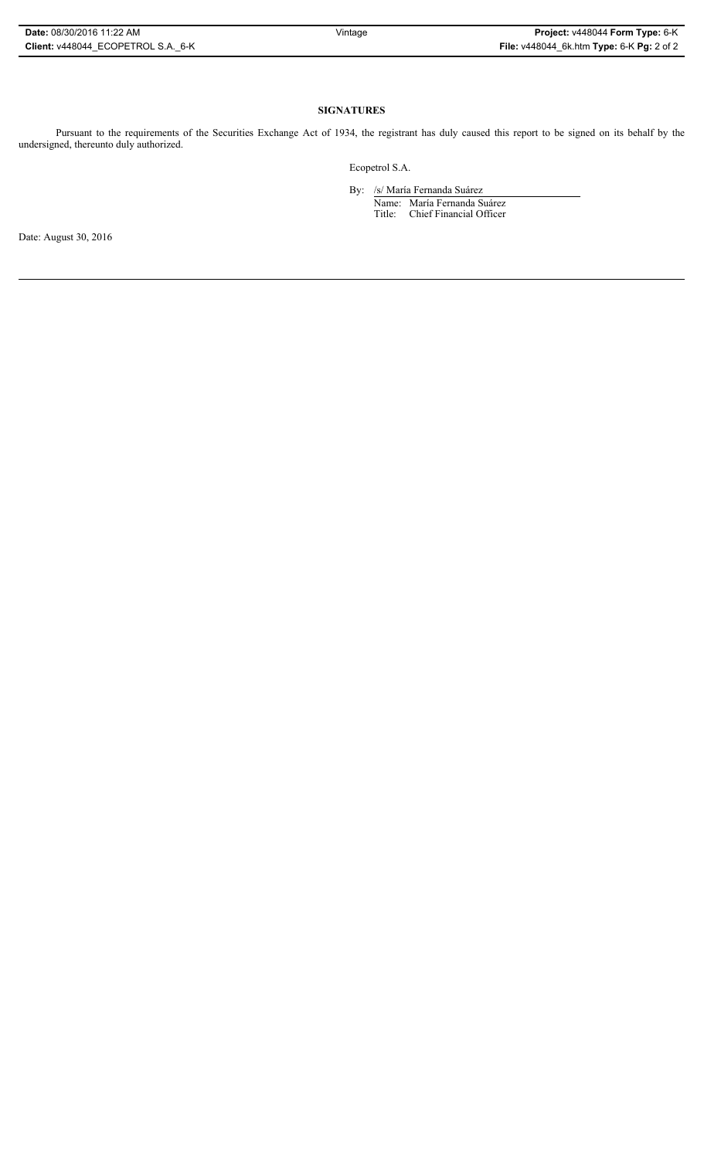## **SIGNATURES**

Pursuant to the requirements of the Securities Exchange Act of 1934, the registrant has duly caused this report to be signed on its behalf by the undersigned, thereunto duly authorized.

Ecopetrol S.A.

By: /s/ María Fernanda Suárez Name: María Fernanda Suárez Title: Chief Financial Officer

Date: August 30, 2016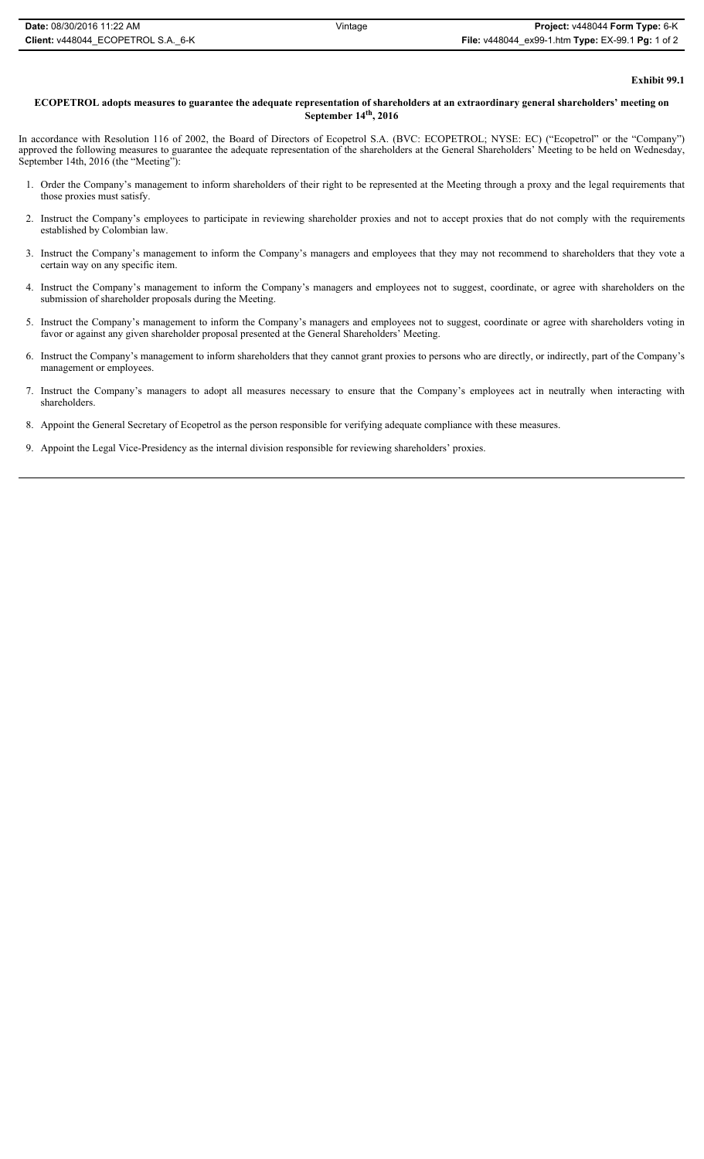### **Exhibit 99.1**

### **ECOPETROL adopts measures to guarantee the adequate representation of shareholders at an extraordinary general shareholders' meeting on September 14th, 2016**

In accordance with Resolution 116 of 2002, the Board of Directors of Ecopetrol S.A. (BVC: ECOPETROL; NYSE: EC) ("Ecopetrol" or the "Company") approved the following measures to guarantee the adequate representation of the shareholders at the General Shareholders' Meeting to be held on Wednesday, September 14th, 2016 (the "Meeting"):

- 1. Order the Company's management to inform shareholders of their right to be represented at the Meeting through a proxy and the legal requirements that those proxies must satisfy.
- 2. Instruct the Company's employees to participate in reviewing shareholder proxies and not to accept proxies that do not comply with the requirements established by Colombian law.
- 3. Instruct the Company's management to inform the Company's managers and employees that they may not recommend to shareholders that they vote a certain way on any specific item.
- 4. Instruct the Company's management to inform the Company's managers and employees not to suggest, coordinate, or agree with shareholders on the submission of shareholder proposals during the Meeting.
- 5. Instruct the Company's management to inform the Company's managers and employees not to suggest, coordinate or agree with shareholders voting in favor or against any given shareholder proposal presented at the General Shareholders' Meeting.
- 6. Instruct the Company's management to inform shareholders that they cannot grant proxies to persons who are directly, or indirectly, part of the Company's management or employees.
- 7. Instruct the Company's managers to adopt all measures necessary to ensure that the Company's employees act in neutrally when interacting with shareholders.
- 8. Appoint the General Secretary of Ecopetrol as the person responsible for verifying adequate compliance with these measures.
- 9. Appoint the Legal Vice-Presidency as the internal division responsible for reviewing shareholders' proxies.